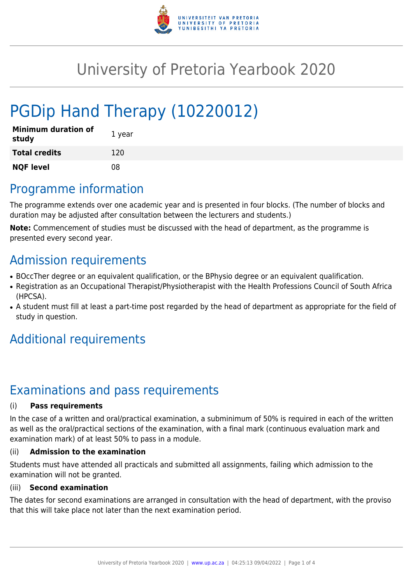

# University of Pretoria Yearbook 2020

# PGDip Hand Therapy (10220012)

| <b>Minimum duration of</b><br>study | 1 year |
|-------------------------------------|--------|
| <b>Total credits</b>                | 120    |
| <b>NQF level</b>                    | 08     |

# Programme information

The programme extends over one academic year and is presented in four blocks. (The number of blocks and duration may be adjusted after consultation between the lecturers and students.)

**Note:** Commencement of studies must be discussed with the head of department, as the programme is presented every second year.

## Admission requirements

- BOccTher degree or an equivalent qualification, or the BPhysio degree or an equivalent qualification.
- Registration as an Occupational Therapist/Physiotherapist with the Health Professions Council of South Africa (HPCSA).
- A student must fill at least a part-time post regarded by the head of department as appropriate for the field of study in question.

# Additional requirements

# Examinations and pass requirements

### (i) **Pass requirements**

In the case of a written and oral/practical examination, a subminimum of 50% is required in each of the written as well as the oral/practical sections of the examination, with a final mark (continuous evaluation mark and examination mark) of at least 50% to pass in a module.

### (ii) **Admission to the examination**

Students must have attended all practicals and submitted all assignments, failing which admission to the examination will not be granted.

### (iii) **Second examination**

The dates for second examinations are arranged in consultation with the head of department, with the proviso that this will take place not later than the next examination period.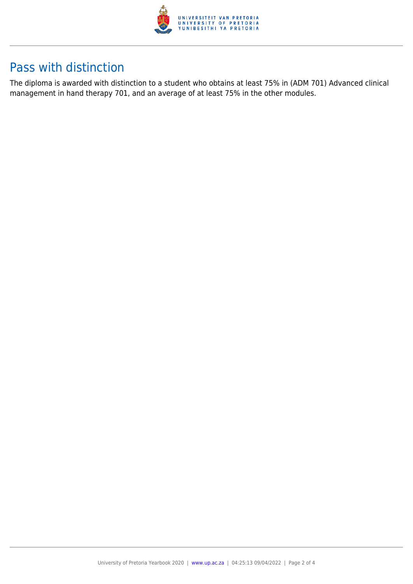

## Pass with distinction

The diploma is awarded with distinction to a student who obtains at least 75% in (ADM 701) Advanced clinical management in hand therapy 701, and an average of at least 75% in the other modules.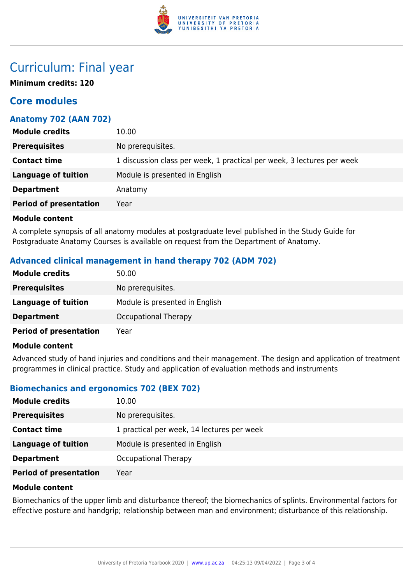

### Curriculum: Final year

**Minimum credits: 120**

### **Core modules**

### **Anatomy 702 (AAN 702)**

| <b>Module credits</b>         | 10.00                                                                  |
|-------------------------------|------------------------------------------------------------------------|
| <b>Prerequisites</b>          | No prerequisites.                                                      |
| <b>Contact time</b>           | 1 discussion class per week, 1 practical per week, 3 lectures per week |
| <b>Language of tuition</b>    | Module is presented in English                                         |
| <b>Department</b>             | Anatomy                                                                |
| <b>Period of presentation</b> | Year                                                                   |

#### **Module content**

A complete synopsis of all anatomy modules at postgraduate level published in the Study Guide for Postgraduate Anatomy Courses is available on request from the Department of Anatomy.

### **Advanced clinical management in hand therapy 702 (ADM 702)**

| <b>Module credits</b>         | 50.00                          |
|-------------------------------|--------------------------------|
| <b>Prerequisites</b>          | No prerequisites.              |
| <b>Language of tuition</b>    | Module is presented in English |
| <b>Department</b>             | <b>Occupational Therapy</b>    |
| <b>Period of presentation</b> | Year                           |

#### **Module content**

Advanced study of hand injuries and conditions and their management. The design and application of treatment programmes in clinical practice. Study and application of evaluation methods and instruments

### **Biomechanics and ergonomics 702 (BEX 702)**

| <b>Module credits</b>         | 10.00                                      |
|-------------------------------|--------------------------------------------|
| <b>Prerequisites</b>          | No prerequisites.                          |
| <b>Contact time</b>           | 1 practical per week, 14 lectures per week |
| Language of tuition           | Module is presented in English             |
| <b>Department</b>             | Occupational Therapy                       |
| <b>Period of presentation</b> | Year                                       |

#### **Module content**

Biomechanics of the upper limb and disturbance thereof; the biomechanics of splints. Environmental factors for effective posture and handgrip; relationship between man and environment; disturbance of this relationship.